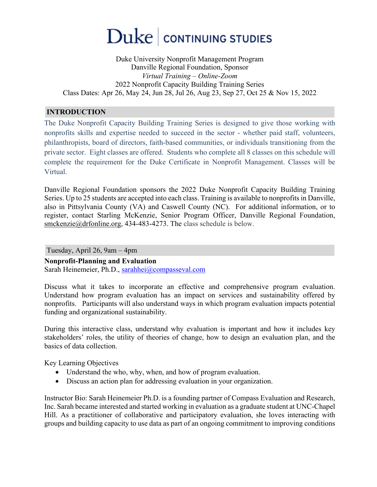# $\rm{Duke}\,|\,$  continuing studies

Duke University Nonprofit Management Program Danville Regional Foundation, Sponsor *Virtual Training – Online-Zoom* 2022 Nonprofit Capacity Building Training Series Class Dates: Apr 26, May 24, Jun 28, Jul 26, Aug 23, Sep 27, Oct 25 & Nov 15, 2022

## **INTRODUCTION**

The Duke Nonprofit Capacity Building Training Series is designed to give those working with nonprofits skills and expertise needed to succeed in the sector - whether paid staff, volunteers, philanthropists, board of directors, faith-based communities, or individuals transitioning from the private sector. Eight classes are offered. Students who complete all 8 classes on this schedule will complete the requirement for the Duke Certificate in Nonprofit Management. Classes will be Virtual.

Danville Regional Foundation sponsors the 2022 Duke Nonprofit Capacity Building Training Series. Up to 25 students are accepted into each class. Training is available to nonprofits in Danville, also in Pittsylvania County (VA) and Caswell County (NC). For additional information, or to register, contact Starling McKenzie, Senior Program Officer, Danville Regional Foundation, smckenzie@drfonline.org, 434-483-4273. The class schedule is below.

Tuesday, April 26, 9am – 4pm

**Nonprofit-Planning and Evaluation**

Sarah Heinemeier, Ph.D., sarahhei@compasseval.com

Discuss what it takes to incorporate an effective and comprehensive program evaluation. Understand how program evaluation has an impact on services and sustainability offered by nonprofits. Participants will also understand ways in which program evaluation impacts potential funding and organizational sustainability.

During this interactive class, understand why evaluation is important and how it includes key stakeholders' roles, the utility of theories of change, how to design an evaluation plan, and the basics of data collection.

Key Learning Objectives

- Understand the who, why, when, and how of program evaluation.
- Discuss an action plan for addressing evaluation in your organization.

Instructor Bio: Sarah Heinemeier Ph.D. is a founding partner of Compass Evaluation and Research, Inc. Sarah became interested and started working in evaluation as a graduate student at UNC-Chapel Hill. As a practitioner of collaborative and participatory evaluation, she loves interacting with groups and building capacity to use data as part of an ongoing commitment to improving conditions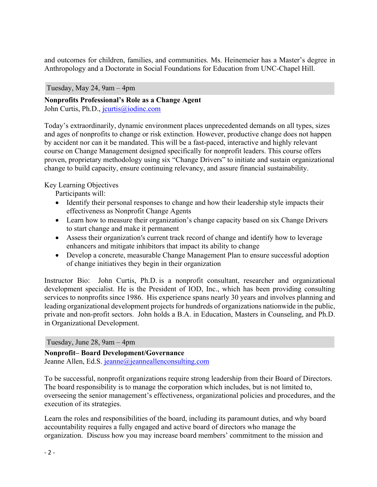and outcomes for children, families, and communities. Ms. Heinemeier has a Master's degree in Anthropology and a Doctorate in Social Foundations for Education from UNC-Chapel Hill.

Tuesday, May 24, 9am – 4pm

**Nonprofits Professional's Role as a Change Agent** John Curtis, Ph.D., jcurtis@iodinc.com

Today's extraordinarily, dynamic environment places unprecedented demands on all types, sizes and ages of nonprofits to change or risk extinction. However, productive change does not happen by accident nor can it be mandated. This will be a fast-paced, interactive and highly relevant course on Change Management designed specifically for nonprofit leaders. This course offers proven, proprietary methodology using six "Change Drivers" to initiate and sustain organizational change to build capacity, ensure continuing relevancy, and assure financial sustainability.

Key Learning Objectives

Participants will:

- Identify their personal responses to change and how their leadership style impacts their effectiveness as Nonprofit Change Agents
- Learn how to measure their organization's change capacity based on six Change Drivers to start change and make it permanent
- Assess their organization's current track record of change and identify how to leverage enhancers and mitigate inhibitors that impact its ability to change
- Develop a concrete, measurable Change Management Plan to ensure successful adoption of change initiatives they begin in their organization

Instructor Bio: John Curtis, Ph.D. is a nonprofit consultant, researcher and organizational development specialist. He is the President of IOD, Inc., which has been providing consulting services to nonprofits since 1986. His experience spans nearly 30 years and involves planning and leading organizational development projects for hundreds of organizations nationwide in the public, private and non-profit sectors. John holds a B.A. in Education, Masters in Counseling, and Ph.D. in Organizational Development.

Tuesday, June 28, 9am – 4pm

**Nonprofit– Board Development/Governance** Jeanne Allen, Ed.S. jeanne@jeanneallenconsulting.com

To be successful, nonprofit organizations require strong leadership from their Board of Directors. The board responsibility is to manage the corporation which includes, but is not limited to, overseeing the senior management's effectiveness, organizational policies and procedures, and the execution of its strategies.

Learn the roles and responsibilities of the board, including its paramount duties, and why board accountability requires a fully engaged and active board of directors who manage the organization. Discuss how you may increase board members' commitment to the mission and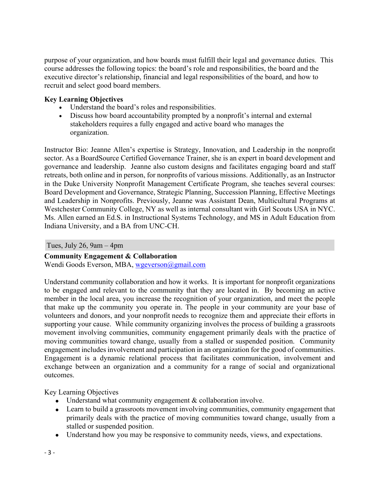purpose of your organization, and how boards must fulfill their legal and governance duties. This course addresses the following topics: the board's role and responsibilities, the board and the executive director's relationship, financial and legal responsibilities of the board, and how to recruit and select good board members.

## **Key Learning Objectives**

- Understand the board's roles and responsibilities.
- Discuss how board accountability prompted by a nonprofit's internal and external stakeholders requires a fully engaged and active board who manages the organization.

Instructor Bio: Jeanne Allen's expertise is Strategy, Innovation, and Leadership in the nonprofit sector. As a BoardSource Certified Governance Trainer, she is an expert in board development and governance and leadership. Jeanne also custom designs and facilitates engaging board and staff retreats, both online and in person, for nonprofits of various missions. Additionally, as an Instructor in the Duke University Nonprofit Management Certificate Program, she teaches several courses: Board Development and Governance, Strategic Planning, Succession Planning, Effective Meetings and Leadership in Nonprofits. Previously, Jeanne was Assistant Dean, Multicultural Programs at Westchester Community College, NY as well as internal consultant with Girl Scouts USA in NYC. Ms. Allen earned an Ed.S. in Instructional Systems Technology, and MS in Adult Education from Indiana University, and a BA from UNC-CH.

Tues, July 26, 9am – 4pm

## **Community Engagement & Collaboration**

Wendi Goods Everson, MBA, wgeverson@gmail.com

Understand community collaboration and how it works. It is important for nonprofit organizations to be engaged and relevant to the community that they are located in. By becoming an active member in the local area, you increase the recognition of your organization, and meet the people that make up the community you operate in. The people in your community are your base of volunteers and donors, and your nonprofit needs to recognize them and appreciate their efforts in supporting your cause. While community organizing involves the process of building a grassroots movement involving communities, community engagement primarily deals with the practice of moving communities toward change, usually from a stalled or suspended position. Community engagement includes involvement and participation in an organization for the good of communities. Engagement is a dynamic relational process that facilitates communication, involvement and exchange between an organization and a community for a range of social and organizational outcomes.

Key Learning Objectives

- Understand what community engagement & collaboration involve.
- Learn to build a grassroots movement involving communities, community engagement that primarily deals with the practice of moving communities toward change, usually from a stalled or suspended position.
- Understand how you may be responsive to community needs, views, and expectations.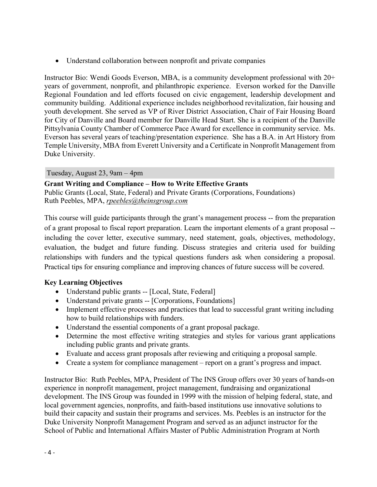• Understand collaboration between nonprofit and private companies

Instructor Bio: Wendi Goods Everson, MBA, is a community development professional with 20+ years of government, nonprofit, and philanthropic experience. Everson worked for the Danville Regional Foundation and led efforts focused on civic engagement, leadership development and community building. Additional experience includes neighborhood revitalization, fair housing and youth development. She served as VP of River District Association, Chair of Fair Housing Board for City of Danville and Board member for Danville Head Start. She is a recipient of the Danville Pittsylvania County Chamber of Commerce Pace Award for excellence in community service. Ms. Everson has several years of teaching/presentation experience. She has a B.A. in Art History from Temple University, MBA from Everett University and a Certificate in Nonprofit Management from Duke University.

Tuesday, August 23, 9am – 4pm

**Grant Writing and Compliance – How to Write Effective Grants** Public Grants (Local, State, Federal) and Private Grants (Corporations, Foundations) Ruth Peebles, MPA, *rpeebles@theinsgroup.com*

This course will guide participants through the grant's management process -- from the preparation of a grant proposal to fiscal report preparation. Learn the important elements of a grant proposal - including the cover letter, executive summary, need statement, goals, objectives, methodology, evaluation, the budget and future funding. Discuss strategies and criteria used for building relationships with funders and the typical questions funders ask when considering a proposal. Practical tips for ensuring compliance and improving chances of future success will be covered.

## **Key Learning Objectives**

- Understand public grants -- [Local, State, Federal]
- Understand private grants -- [Corporations, Foundations]
- Implement effective processes and practices that lead to successful grant writing including how to build relationships with funders.
- Understand the essential components of a grant proposal package.
- Determine the most effective writing strategies and styles for various grant applications including public grants and private grants.
- Evaluate and access grant proposals after reviewing and critiquing a proposal sample.
- Create a system for compliance management report on a grant's progress and impact.

Instructor Bio: Ruth Peebles, MPA, President of The INS Group offers over 30 years of hands‐on experience in nonprofit management, project management, fundraising and organizational development. The INS Group was founded in 1999 with the mission of helping federal, state, and local government agencies, nonprofits, and faith-based institutions use innovative solutions to build their capacity and sustain their programs and services. Ms. Peebles is an instructor for the Duke University Nonprofit Management Program and served as an adjunct instructor for the School of Public and International Affairs Master of Public Administration Program at North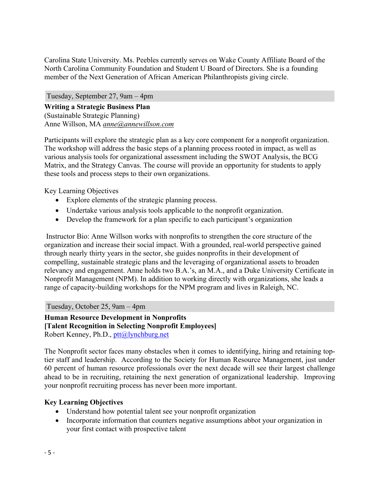Carolina State University. Ms. Peebles currently serves on Wake County Affiliate Board of the North Carolina Community Foundation and Student U Board of Directors. She is a founding member of the Next Generation of African American Philanthropists giving circle.

Tuesday, September 27, 9am – 4pm **Writing a Strategic Business Plan** (Sustainable Strategic Planning) Anne Willson, MA *anne@annewillson.com*

Participants will explore the strategic plan as a key core component for a nonprofit organization. The workshop will address the basic steps of a planning process rooted in impact, as well as various analysis tools for organizational assessment including the SWOT Analysis, the BCG Matrix, and the Strategy Canvas. The course will provide an opportunity for students to apply these tools and process steps to their own organizations.

Key Learning Objectives

- Explore elements of the strategic planning process.
- Undertake various analysis tools applicable to the nonprofit organization.
- Develop the framework for a plan specific to each participant's organization

Instructor Bio: Anne Willson works with nonprofits to strengthen the core structure of the organization and increase their social impact. With a grounded, real-world perspective gained through nearly thirty years in the sector, she guides nonprofits in their development of compelling, sustainable strategic plans and the leveraging of organizational assets to broaden relevancy and engagement. Anne holds two B.A.'s, an M.A., and a Duke University Certificate in Nonprofit Management (NPM). In addition to working directly with organizations, she leads a range of capacity-building workshops for the NPM program and lives in Raleigh, NC.

Tuesday, October 25, 9am – 4pm

**Human Resource Development in Nonprofits [Talent Recognition in Selecting Nonprofit Employees]** Robert Kenney, Ph.D., ptt@lynchburg.net

The Nonprofit sector faces many obstacles when it comes to identifying, hiring and retaining toptier staff and leadership. According to the Society for Human Resource Management, just under 60 percent of human resource professionals over the next decade will see their largest challenge ahead to be in recruiting, retaining the next generation of organizational leadership. Improving your nonprofit recruiting process has never been more important.

## **Key Learning Objectives**

- Understand how potential talent see your nonprofit organization
- Incorporate information that counters negative assumptions abbot your organization in your first contact with prospective talent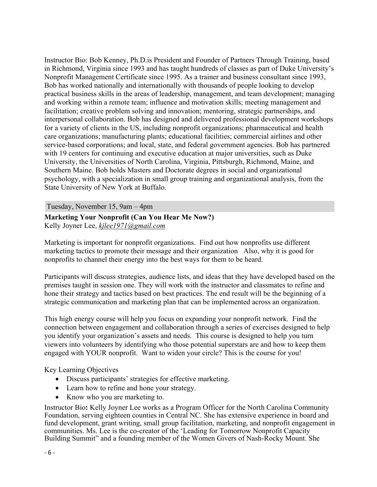Instructor Bio: Bob Kenney, Ph.D.is President and Founder of Partners Through Training, based in Richmond, Virginia since 1993 and has taught hundreds of classes as part of Duke University's Nonprofit Management Certificate since 1995. As a trainer and business consultant since 1993, Bob has worked nationally and internationally with thousands of people looking to develop practical business skills in the areas of leadership, management, and team development; managing and working within a remote team; influence and motivation skills; meeting management and facilitation; creative problem solving and innovation; mentoring, strategic partnerships, and interpersonal collaboration. Bob has designed and delivered professional development workshops for a variety of clients in the US, including nonprofit organizations; pharmaceutical and health care organizations; manufacturing plants; educational facilities; commercial airlines and other service-based corporations; and local, state, and federal government agencies. Bob has partnered with 19 centers for continuing and executive education at major universities, such as Duke University, the Universities of North Carolina, Virginia, Pittsburgh, Richmond, Maine, and Southern Maine. Bob holds Masters and Doctorate degrees in social and organizational psychology, with a specialization in small group training and organizational analysis, from the State University of New York at Buffalo.

Tuesday, November 15, 9am – 4pm

## **Marketing Your Nonprofit (Can You Hear Me Now?)**  Kelly Joyner Lee, *kjlee1971@gmail.com*

Marketing is important for nonprofit organizations. Find out how nonprofits use different marketing tactics to promote their message and their organization Also, why it is good for nonprofits to channel their energy into the best ways for them to be heard.

Participants will discuss strategies, audience lists, and ideas that they have developed based on the premises taught in session one. They will work with the instructor and classmates to refine and hone their strategy and tactics based on best practices. The end result will be the beginning of a strategic communication and marketing plan that can be implemented across an organization.

This high energy course will help you focus on expanding your nonprofit network. Find the connection between engagement and collaboration through a series of exercises designed to help you identify your organization's assets and needs. This course is designed to help you turn viewers into volunteers by identifying who those potential superstars are and how to keep them engaged with YOUR nonprofit. Want to widen your circle? This is the course for you!

Key Learning Objectives

- Discuss participants' strategies for effective marketing.
- Learn how to refine and hone your strategy.
- Know who you are marketing to.

Instructor Bio**:** Kelly Joyner Lee works as a Program Officer for the North Carolina Community Foundation, serving eighteen counties in Central NC. She has extensive experience in board and fund development, grant writing, small group facilitation, marketing, and nonprofit engagement in communities. Ms. Lee is the co-creator of the 'Leading for Tomorrow Nonprofit Capacity Building Summit" and a founding member of the Women Givers of Nash-Rocky Mount. She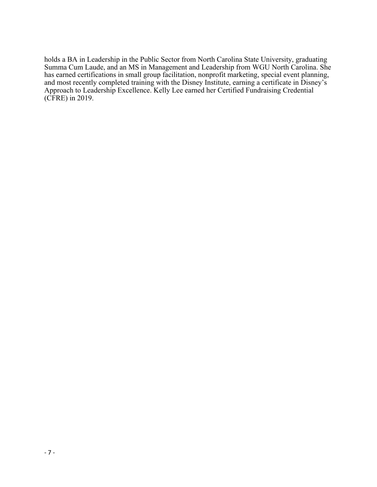holds a BA in Leadership in the Public Sector from North Carolina State University, graduating Summa Cum Laude, and an MS in Management and Leadership from WGU North Carolina. She has earned certifications in small group facilitation, nonprofit marketing, special event planning, and most recently completed training with the Disney Institute, earning a certificate in Disney's Approach to Leadership Excellence. Kelly Lee earned her Certified Fundraising Credential (CFRE) in 2019.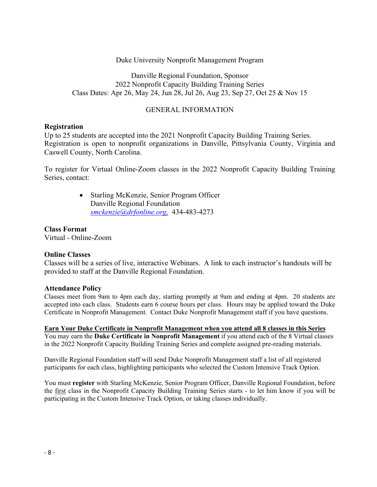Duke University Nonprofit Management Program

Danville Regional Foundation, Sponsor 2022 Nonprofit Capacity Building Training Series Class Dates: Apr 26, May 24, Jun 28, Jul 26, Aug 23, Sep 27, Oct 25 & Nov 15

#### GENERAL INFORMATION

#### **Registration**

Up to 25 students are accepted into the 2021 Nonprofit Capacity Building Training Series. Registration is open to nonprofit organizations in Danville, Pittsylvania County, Virginia and Caswell County, North Carolina.

To register for Virtual Online-Zoom classes in the 2022 Nonprofit Capacity Building Training Series, contact:

> • Starling McKenzie, Senior Program Officer Danville Regional Foundation *smckenzie@drfonline.org,* 434-483-4273

#### **Class Format**

Virtual - Online-Zoom

#### **Online Classes**

Classes will be a series of live, interactive Webinars. A link to each instructor's handouts will be provided to staff at the Danville Regional Foundation.

#### **Attendance Policy**

Classes meet from 9am to 4pm each day, starting promptly at 9am and ending at 4pm. 20 students are accepted into each class. Students earn 6 course hours per class. Hours may be applied toward the Duke Certificate in Nonprofit Management. Contact Duke Nonprofit Management staff if you have questions.

**Earn Your Duke Certificate in Nonprofit Management when you attend all 8 classes in this Series**  You may earn the **Duke Certificate in Nonprofit Management** if you attend each of the 8 Virtual classes in the 2022 Nonprofit Capacity Building Training Series and complete assigned pre-reading materials.

Danville Regional Foundation staff will send Duke Nonprofit Management staff a list of all registered participants for each class, highlighting participants who selected the Custom Intensive Track Option.

You must **register** with Starling McKenzie, Senior Program Officer, Danville Regional Foundation, before the first class in the Nonprofit Capacity Building Training Series starts - to let him know if you will be participating in the Custom Intensive Track Option, or taking classes individually.